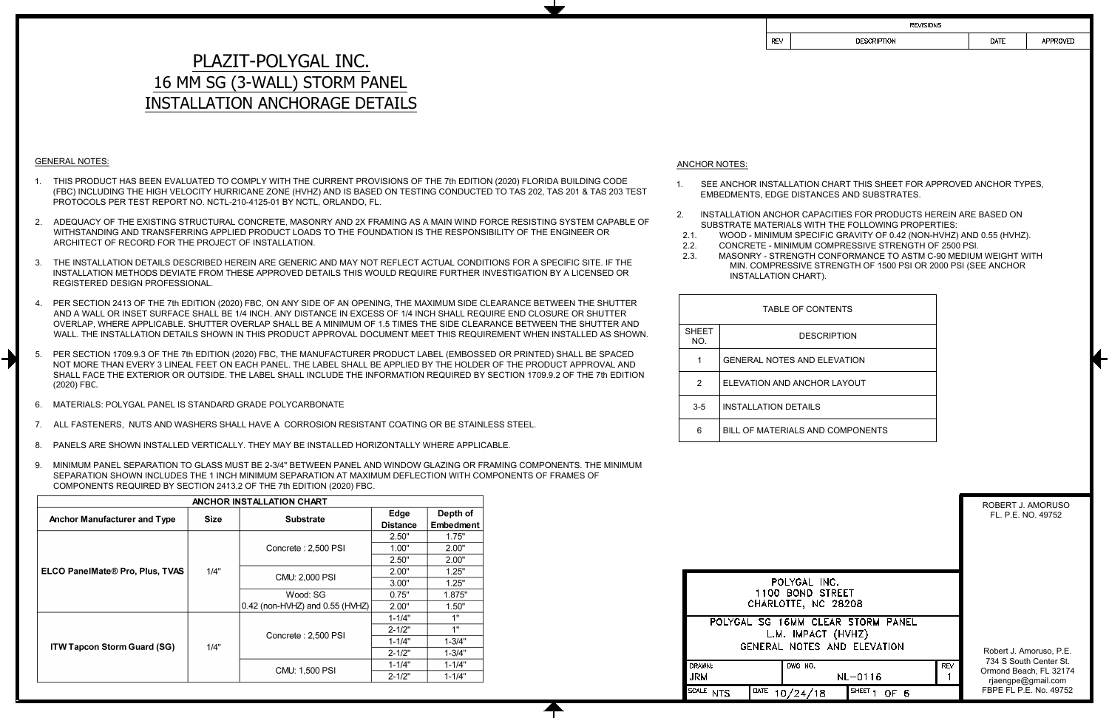Robert J. Amoruso, P.E. 734 S South Center St. Ormond Beach, FL 32174 rjaengpe@gmail.com FBPE FL P.E. No. 49752

#### ANCHOR NOTES:

1. SEE ANCHOR INSTALLATION EMBEDMENTS, EDGE DISTA

- 2. INSTALLATION ANCHOR CA SUBSTRATE MATERIALS WI
- 2.1. WOOD MINIMUM SPEC 2.2. CONCRETE - MINIMUM
- 2.3. MASONRY STRENGTH INSTALLATION CHAF

| 1  | <b>GENERAL NOTES AND</b>    |
|----|-----------------------------|
| 2  | ELEVATION AND ANCH          |
| -5 | <b>INSTALLATION DETAIL!</b> |
| 6  | <b>BILL OF MATERIALS AN</b> |

|                     | POLYGAL IN<br>1100 BOND S<br>CHARLOTTE, NC |
|---------------------|--------------------------------------------|
|                     | POLYGAL SG 16MM CLE<br>L.M. IMPACT         |
|                     | GENERAL NOTES                              |
| DRAWN:              | DWG NO.                                    |
| JRM                 |                                            |
| <b>SCALE</b><br>NTS | DATE<br>10/24/18                           |

**REV** 

 $NL-0116$ 

SHEET 1 OF 6

### GENERAL NOTES:

- 1. THIS PRODUCT HAS BEEN EVALUATED TO COMPLY WITH THE CURRENT PROVISIONS OF THE 7th EDITION (2020) FLORIDA BUILDING CODE (FBC) INCLUDING THE HIGH VELOCITY HURRICANE ZONE (HVHZ) AND IS BASED ON TESTING CONDUCTED TO TAS 202, TAS 201 & TAS 203 TEST PROTOCOLS PER TEST REPORT NO. NCTL-210-4125-01 BY NCTL, ORLANDO, FL.
- 2. ADEQUACY OF THE EXISTING STRUCTURAL CONCRETE, MASONRY AND 2X FRAMING AS A MAIN WIND FORCE RESISTING SYSTEM CAPABLE OF WITHSTANDING AND TRANSFERRING APPLIED PRODUCT LOADS TO THE FOUNDATION IS THE RESPONSIBILITY OF THE ENGINEER OR ARCHITECT OF RECORD FOR THE PROJECT OF INSTALLATION.
- 3. THE INSTALLATION DETAILS DESCRIBED HEREIN ARE GENERIC AND MAY NOT REFLECT ACTUAL CONDITIONS FOR A SPECIFIC SITE. IF THE MIN. COMPRESSIVE INSTALLATION METHODS DEVIATE FROM THESE APPROVED DETAILS THIS WOULD REQUIRE FURTHER INVESTIGATION BY A LICENSED OR REGISTERED DESIGN PROFESSIONAL.
- 4. PER SECTION 2413 OF THE 7th EDITION (2020) FBC, ON ANY SIDE OF AN OPENING, THE MAXIMUM SIDE CLEARANCE BETWEEN THE SHUTTER<br>AND A WALL OR INSET SURFACE SHALL BE 4/4 INCH ANY DISTANCE IN EXCESS OF 4/4 INCH SHALL BEQUIRE FN AND A WALL OR INSET SURFACE SHALL BE 1/4 INCH. ANY DISTANCE IN EXCESS OF 1/4 INCH SHALL REQUIRE END CLOSURE OR SHUTTER OVERLAP, WHERE APPLICABLE. SHUTTER OVERLAP SHALL BE A MINIMUM OF 1.5 TIMES THE SIDE CLEARANCE BETWEEN THE SHUTTER AND WALL. THE INSTALLATION DETAILS SHOWN IN THIS PRODUCT APPROVAL DOCUMENT MEET THIS REQUIREMENT WHEN INSTALLED AS SHOWN.  $\begin{bmatrix} SHEET & NO. \end{bmatrix}$
- 5. PER SECTION 1709.9.3 OF THE 7th EDITION (2020) FBC, THE MANUFACTURER PRODUCT LABEL (EMBOSSED OR PRINTED) SHALL BE SPACED NOT MORE THAN EVERY 3 LINEAL FEET ON EACH PANEL. THE LABEL SHALL BE APPLIED BY THE HOLDER OF THE PRODUCT APPROVAL AND SHALL FACE THE EXTERIOR OR OUTSIDE. THE LABEL SHALL INCLUDE THE INFORMATION REQUIRED BY SECTION 1709.9.2 OF THE 7th EDITION (2020) FBC.

- 7. ALL FASTENERS, NUTS AND WASHERS SHALL HAVE A CORROSION RESISTANT COATING OR BE STAINLESS STEEL.
- 8. PANELS ARE SHOWN INSTALLED VERTICALLY. THEY MAY BE INSTALLED HORIZONTALLY WHERE APPLICABLE.

|                                             |             | ANCHOR INSTALLATION CHART          |                 |            |
|---------------------------------------------|-------------|------------------------------------|-----------------|------------|
| <b>Anchor Manufacturer and Type</b>         | <b>Size</b> | <b>Substrate</b>                   | <b>Edge</b>     | Depth of   |
|                                             |             |                                    | <b>Distance</b> | Embedment  |
|                                             |             |                                    | 2.50"           | 1.75"      |
|                                             |             | Concrete: 2,500 PSI                | 1.00"           | 2.00"      |
|                                             |             |                                    | 2.50"           | 2.00"      |
| ELCO PanelMate <sup>®</sup> Pro, Plus, TVAS | 1/4"        |                                    | 2.00"           | 1.25"      |
|                                             |             | CMU: 2,000 PSI                     | 3.00"           | 1.25"      |
|                                             |             | Wood: SG                           | 0.75"           | 1.875"     |
|                                             |             | $ 0.42$ (non-HVHZ) and 0.55 (HVHZ) | 2.00"           | 1.50"      |
|                                             |             |                                    | $1 - 1/4"$      | 1"         |
|                                             |             |                                    | $2 - 1/2"$      | 1"         |
|                                             |             | Concrete: 2,500 PSI                | $1 - 1/4"$      | $1 - 3/4"$ |
| <b>ITW Tapcon Storm Guard (SG)</b>          | 1/4"        |                                    | $2 - 1/2"$      | 1-3/4"     |
|                                             |             |                                    | $1 - 1/4"$      | $1 - 1/4"$ |
|                                             |             | CMU: 1,500 PSI                     | $2 - 1/2"$      | $1 - 1/4"$ |

9. MINIMUM PANEL SEPARATION TO GLASS MUST BE 2-3/4" BETWEEN PANEL AND WINDOW GLAZING OR FRAMING COMPONENTS. THE MINIMUM SEPARATION SHOWN INCLUDES THE 1 INCH MINIMUM SEPARATION AT MAXIMUM DEFLECTION WITH COMPONENTS OF FRAMES OF

6. MATERIALS: POLYGAL PANEL IS STANDARD GRADE POLYCARBONATE AND A CONTROLLER MATERIALS: POLYGAL PANEL IS STANDARD GRADE POLYCARBONATE

COMPONENTS REQUIRED BY SECTION 2413.2 OF THE 7th EDITION (2020) FBC.

## PLAZIT-POLYGAL INC. 16 MM SG (3-WALL) STORM PANEL INSTALLATION ANCHORAGE DETAILS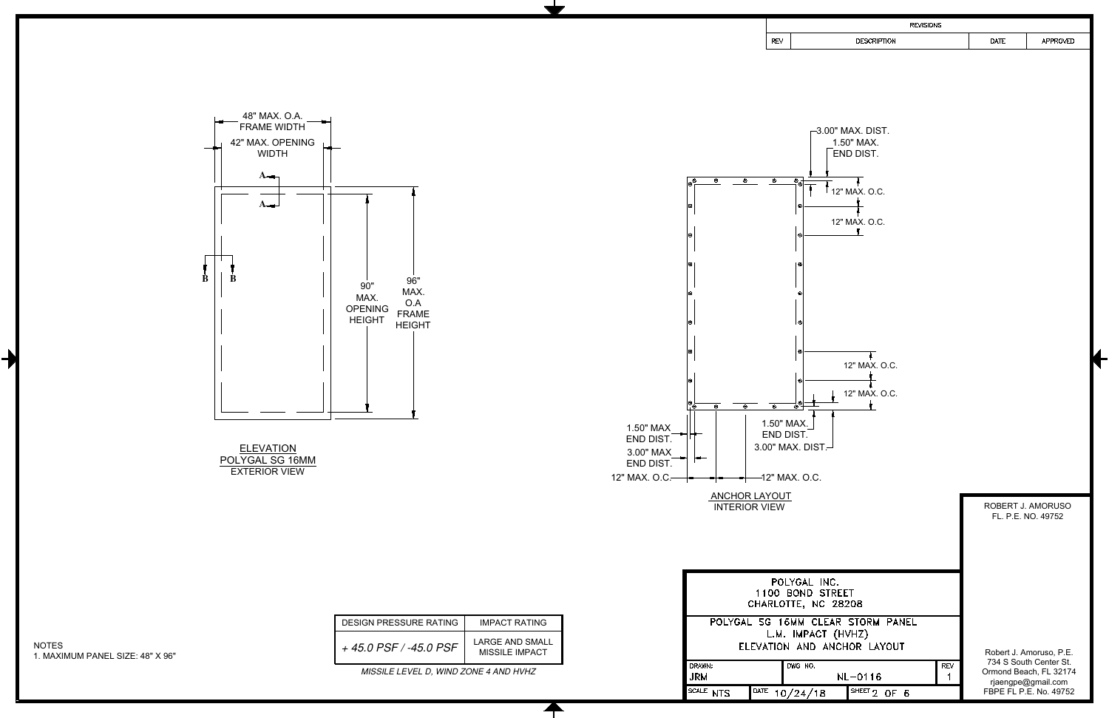$A \rightarrow \Box$ **A** 48" MAX. O.A. FRAME WIDTH MAX. 42" MAX. OPENING WIDTH The contract of the contract of the contract of the contract of the contract of the contract of the contract of the contract of the contract of the contract of the contract of the contract of the contract of the cont  $90"$  MAV MAX. MAX.<br>OPENING <sub>ERAM</sub> **B B**

ELEVATION 3.00" MAX

1.50" MAX. END DIST.  $-3.00$ " MAX. DIST.

NOTES  $+45.0$   $PSF/ -45.0$ 1. MAXIMUM PANEL SIZE: 48" X 96"

|                                       |                                                 |                      | $\mathbf{u}$ |                                                         |                                   |            |  |
|---------------------------------------|-------------------------------------------------|----------------------|--------------|---------------------------------------------------------|-----------------------------------|------------|--|
|                                       |                                                 |                      |              | POLYGAL INC.<br>1100 BOND STREET<br>CHARLOTTE, NC 28208 |                                   |            |  |
| DESIGN PRESSURE RATING                | <b>IMPACT RATING</b>                            |                      |              |                                                         | POLYGAL SG 16MM CLEAR STORM PANEL |            |  |
| + 45.0 PSF / -45.0 PSF                | <b>LARGE AND SMALL</b><br><b>MISSILE IMPACT</b> |                      |              | L.M. IMPACT (HVHZ)<br>ELEVATION AND ANCHOR LAYOUT       |                                   |            |  |
| MISSILE LEVEL D, WIND ZONE 4 AND HVHZ |                                                 | DRAWN:<br><b>JRM</b> |              | DWG NO.                                                 | $NL - 0116$                       | <b>REV</b> |  |
|                                       |                                                 | SCALE NTS            |              | $10^{0ATE}$ 10/24/18                                    | $I$ <sup>SHEET</sup> 2 OF 6       |            |  |



REV

| <b>REVISIONS</b>   |      |          |
|--------------------|------|----------|
| <b>DESCRIPTION</b> | DATE | APPROVED |
|                    |      |          |

# FL. P.E. NO. 49752

Robert J. Amoruso, P.E. 734 S South Center St. Ormond Beach, FL 32174 rjaengpe@gmail.com FBPE FL P.E. No. 49752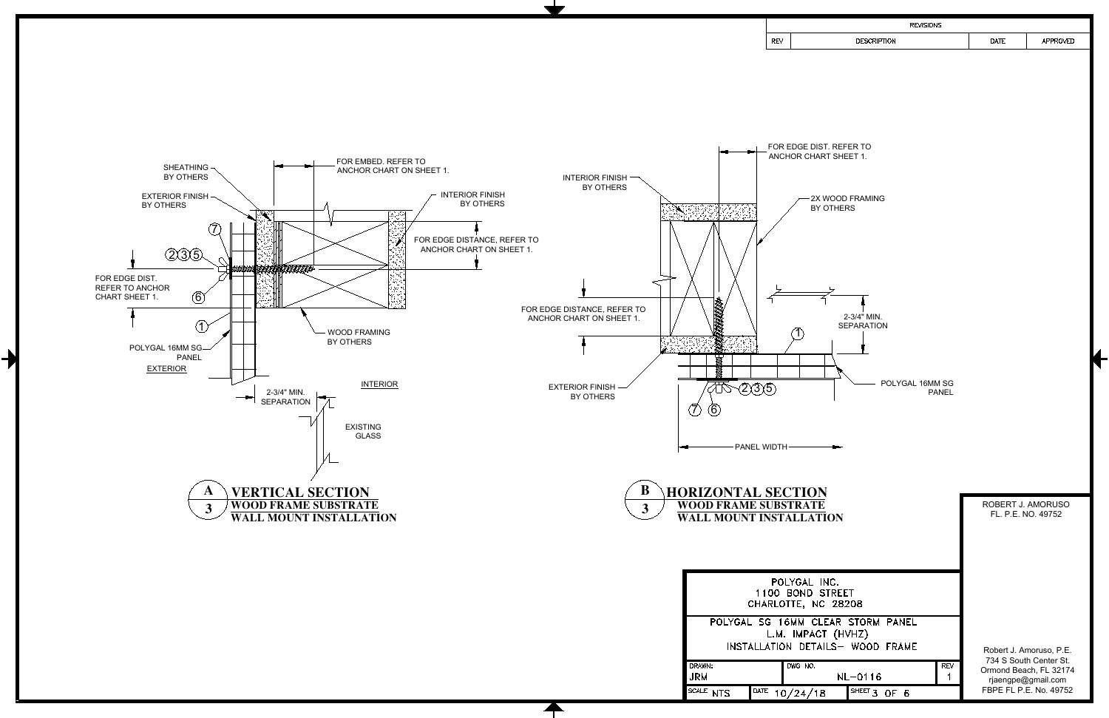INSTALLATION DETAILS- WOOD FRAME

|    |             |  | REV |
|----|-------------|--|-----|
|    | $NL - 0116$ |  |     |
| 1. | SHEET 3 OF  |  |     |



7

Robert J. Amoruso, P.E. 734 S South Center St. Ormond Beach, FL 32174 rjaengpe@gmail.com FBPE FL P.E. No. 49752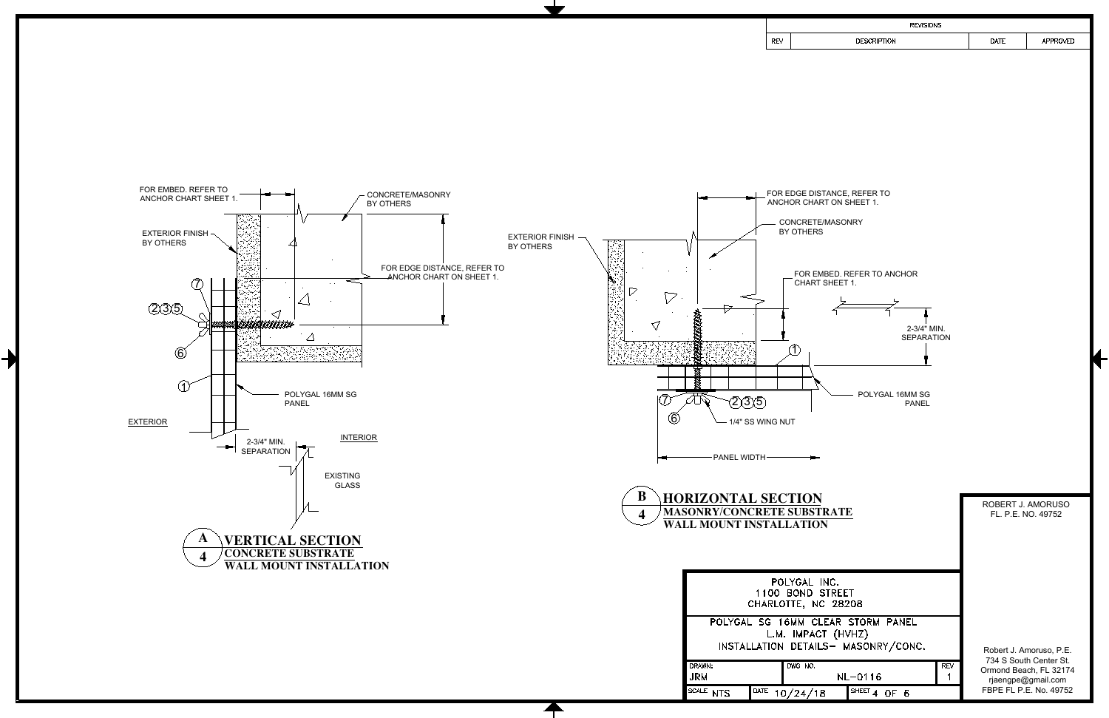

 $\blacktriangleright$ 

|                                  |                                                                |                     | <b>REVISIONS</b>                             |      |                         |
|----------------------------------|----------------------------------------------------------------|---------------------|----------------------------------------------|------|-------------------------|
|                                  |                                                                | REV                 | DESCRIPTION                                  | DATE | APPROVED                |
|                                  |                                                                |                     |                                              |      |                         |
|                                  |                                                                |                     |                                              |      |                         |
|                                  |                                                                |                     |                                              |      |                         |
|                                  |                                                                |                     |                                              |      |                         |
|                                  |                                                                |                     |                                              |      |                         |
|                                  |                                                                |                     |                                              |      |                         |
|                                  |                                                                |                     |                                              |      |                         |
|                                  |                                                                |                     | FOR EDGE DISTANCE, REFER TO                  |      |                         |
|                                  |                                                                |                     | ANCHOR CHART ON SHEET 1.                     |      |                         |
|                                  |                                                                | BY OTHERS           | CONCRETE/MASONRY                             |      |                         |
|                                  |                                                                |                     |                                              |      |                         |
|                                  |                                                                |                     |                                              |      |                         |
|                                  | $\sim 100$                                                     |                     | FOR EMBED. REFER TO ANCHOR<br>CHART SHEET 1. |      |                         |
| $\overline{\smash{\rightarrow}}$ |                                                                |                     |                                              |      |                         |
|                                  |                                                                |                     |                                              |      |                         |
| $\bigtriangledown$               |                                                                |                     | 2-3/4" MIN.<br>SEPARATION                    |      |                         |
|                                  |                                                                |                     |                                              |      |                         |
|                                  | 绛                                                              |                     |                                              |      |                         |
|                                  |                                                                |                     |                                              |      |                         |
| $ \widehat{U} $                  | (2)3(5)                                                        |                     | POLYGAL 16MM SG<br>PANEL                     |      |                         |
| $\circled{6}$                    | - 1/4" SS WING NUT                                             |                     |                                              |      |                         |
|                                  |                                                                |                     |                                              |      |                         |
|                                  | - PANEL WIDTH-                                                 |                     |                                              |      |                         |
|                                  |                                                                |                     |                                              |      |                         |
| B                                |                                                                |                     |                                              |      |                         |
| 4                                | <b>HORIZONTAL SECTION</b><br><b>MASONRY/CONCRETE SUBSTRATE</b> |                     |                                              |      | ROBERT J. AMORUSO       |
|                                  | <b>WALL MOUNT INSTALLATION</b>                                 |                     |                                              |      | FL. P.E. NO. 49752      |
|                                  |                                                                |                     |                                              |      |                         |
|                                  |                                                                |                     |                                              |      |                         |
|                                  |                                                                | POLYGAL INC.        |                                              |      |                         |
|                                  |                                                                | 1100 BOND STREET    |                                              |      |                         |
|                                  |                                                                | CHARLOTTE, NC 28208 |                                              |      |                         |
|                                  |                                                                | L.M. IMPACT (HVHZ)  | POLYGAL SG 16MM CLEAR STORM PANEL            |      |                         |
|                                  |                                                                |                     | INSTALLATION DETAILS- MASONRY/CONC.          |      | Robert J. Amoruso, P.E. |
|                                  |                                                                |                     |                                              |      |                         |

|    |              |   | REV |
|----|--------------|---|-----|
|    | $NL - 0116$  |   |     |
| 18 | $SHEET$ 4 OF | 6 |     |

734 S South Center St. Ormond Beach, FL 32174 rjaengpe@gmail.com FBPE FL P.E. No. 49752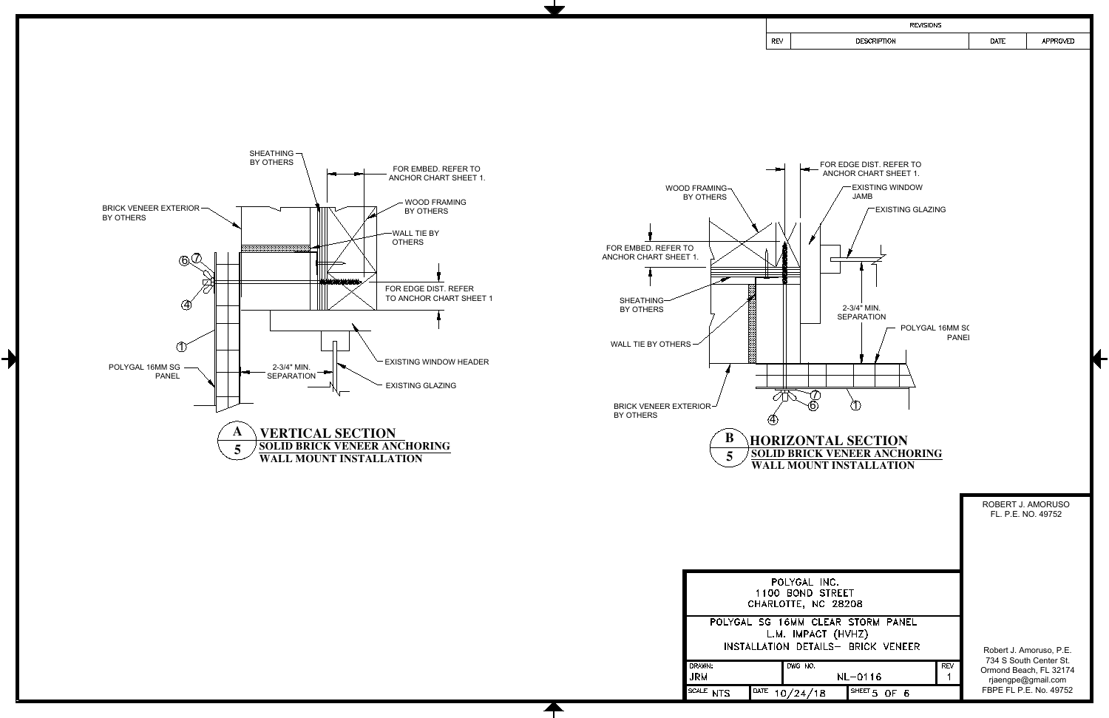

 $\rightarrow$ 

| REVISIONS<br>DESCRIPTION<br>DATE<br>APPROVED<br>REV<br>FOR EDGE DIST. REFER TO<br>—<br>ANCHOR CHART SHEET 1.<br><b>EXISTING WINDOW</b><br>WOOD FRAMING $\neg$<br>JAMB<br>BY OTHERS<br>$\sqrt{-}$ EXISTING GLAZING<br>BY OTHERS<br>FOR EMBED. REFER TO<br>ANCHOR CHART SHEET 1.<br>$SHEATHING-$<br>2-3/4" MIN.<br>BY OTHERS<br><b>SEPARATION</b><br>POLYGAL 16MM SC<br>PANEI<br>WALL TIE BY OTHERS $-$<br>∕ $\tau$<br>BRICK VENEER EXTERIOR $\mathcal I$<br>BY OTHERS<br>$\oint$<br>$\bf{B}$<br>HORIZONTAL SECTION<br><b>VCHORING</b><br><b>SOLID BRICK VENEER ANCHORING</b><br>$\overline{5}$<br><b>TION</b><br><b>WALL MOUNT INSTALLATION</b> |                                                                                                                                                                                                        |                                                                                                |  |
|------------------------------------------------------------------------------------------------------------------------------------------------------------------------------------------------------------------------------------------------------------------------------------------------------------------------------------------------------------------------------------------------------------------------------------------------------------------------------------------------------------------------------------------------------------------------------------------------------------------------------------------------|--------------------------------------------------------------------------------------------------------------------------------------------------------------------------------------------------------|------------------------------------------------------------------------------------------------|--|
|                                                                                                                                                                                                                                                                                                                                                                                                                                                                                                                                                                                                                                                |                                                                                                                                                                                                        |                                                                                                |  |
|                                                                                                                                                                                                                                                                                                                                                                                                                                                                                                                                                                                                                                                |                                                                                                                                                                                                        |                                                                                                |  |
|                                                                                                                                                                                                                                                                                                                                                                                                                                                                                                                                                                                                                                                | FOR EMBED. REFER TO<br>NCHOR CHART SHEET 1.<br>$\sim$ WOOD FRAMING<br>WALL TIE BY<br><b>OTHERS</b><br>OR EDGE DIST. REFER<br>O ANCHOR CHART SHEET 1<br><b>(ISTING WINDOW HEADER</b><br>KISTING GLAZING |                                                                                                |  |
|                                                                                                                                                                                                                                                                                                                                                                                                                                                                                                                                                                                                                                                |                                                                                                                                                                                                        |                                                                                                |  |
|                                                                                                                                                                                                                                                                                                                                                                                                                                                                                                                                                                                                                                                |                                                                                                                                                                                                        | POLYGAL INC.<br>1100 BOND STREET<br>CHARLOTTE, NC 28208<br>BOLVOAL CO 1CHILL OLEAR CTORN BANEL |  |



| POLYGAL INC.<br>1100 BOND STREET<br>CHARLOTTE, NC 28208                                       |      |             |                           |  |            |  |  |  |  |
|-----------------------------------------------------------------------------------------------|------|-------------|---------------------------|--|------------|--|--|--|--|
| POLYGAL SG 16MM CLEAR STORM PANEL<br>L.M. IMPACT (HVHZ)<br>INSTALLATION DETAILS- BRICK VENEER |      |             |                           |  |            |  |  |  |  |
| DRAWN:                                                                                        |      | DWG NO.     |                           |  | <b>REV</b> |  |  |  |  |
| JRM                                                                                           |      | $NL - 0116$ |                           |  |            |  |  |  |  |
| <b>SCALE</b><br>NTS                                                                           | DATE | 10/24/18    | <b>SHEET</b><br>5<br>OE 6 |  |            |  |  |  |  |

Robert J. Amoruso, P.E. 734 S South Center St. Ormond Beach, FL 32174 rjaengpe@gmail.com FBPE FL P.E. No. 49752